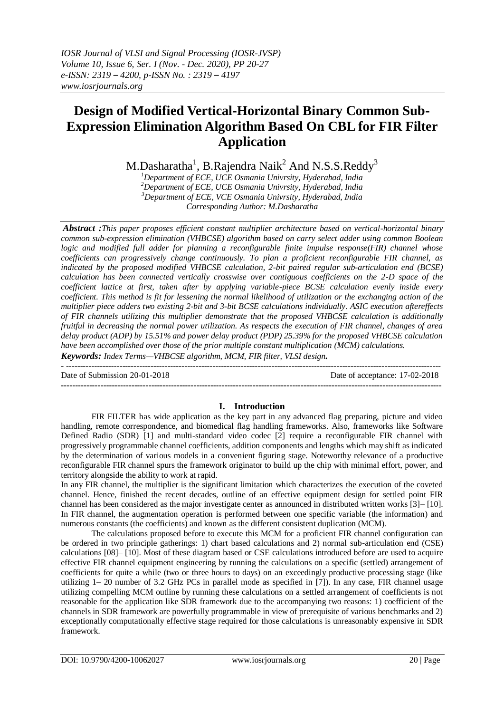## **Design of Modified Vertical-Horizontal Binary Common Sub-Expression Elimination Algorithm Based On CBL for FIR Filter Application**

M.Dasharatha $^1$ , B.Rajendra Naik $^2$  And N.S.S.Reddy $^3$ 

*Department of ECE, UCE Osmania Univrsity, Hyderabad, India Department of ECE, UCE Osmania Univrsity, Hyderabad, India Department of ECE, VCE Osmania Univrsity, Hyderabad, India Corresponding Author: M.Dasharatha*

*Abstract :This paper proposes efficient constant multiplier architecture based on vertical-horizontal binary common sub-expression elimination (VHBCSE) algorithm based on carry select adder using common Boolean logic and modified full adder for planning a reconfigurable finite impulse response(FIR) channel whose coefficients can progressively change continuously. To plan a proficient reconfigurable FIR channel, as indicated by the proposed modified VHBCSE calculation, 2-bit paired regular sub-articulation end (BCSE) calculation has been connected vertically crosswise over contiguous coefficients on the 2-D space of the coefficient lattice at first, taken after by applying variable-piece BCSE calculation evenly inside every coefficient. This method is fit for lessening the normal likelihood of utilization or the exchanging action of the multiplier piece adders two existing 2-bit and 3-bit BCSE calculations individually. ASIC execution aftereffects of FIR channels utilizing this multiplier demonstrate that the proposed VHBCSE calculation is additionally fruitful in decreasing the normal power utilization. As respects the execution of FIR channel, changes of area delay product (ADP) by 15.51% and power delay product (PDP) 25.39% for the proposed VHBCSE calculation have been accomplished over those of the prior multiple constant multiplication (MCM) calculations.*

*Keywords: Index Terms—VHBCSE algorithm, MCM, FIR filter, VLSI design. -* -------------------------------------------------------------------------------------------------------------------------------------

Date of Submission 20-01-2018 Date of acceptance: 17-02-2018

# **I. Introduction**

**---------------------------------------------------------------------------------------------------------------------------------------**

FIR FILTER has wide application as the key part in any advanced flag preparing, picture and video handling, remote correspondence, and biomedical flag handling frameworks. Also, frameworks like Software Defined Radio (SDR) [1] and multi-standard video codec [2] require a reconfigurable FIR channel with progressively programmable channel coefficients, addition components and lengths which may shift as indicated by the determination of various models in a convenient figuring stage. Noteworthy relevance of a productive reconfigurable FIR channel spurs the framework originator to build up the chip with minimal effort, power, and territory alongside the ability to work at rapid.

In any FIR channel, the multiplier is the significant limitation which characterizes the execution of the coveted channel. Hence, finished the recent decades, outline of an effective equipment design for settled point FIR channel has been considered as the major investigate center as announced in distributed written works [3]– [10]. In FIR channel, the augmentation operation is performed between one specific variable (the information) and numerous constants (the coefficients) and known as the different consistent duplication (MCM).

The calculations proposed before to execute this MCM for a proficient FIR channel configuration can be ordered in two principle gatherings: 1) chart based calculations and 2) normal sub-articulation end (CSE) calculations [08]– [10]. Most of these diagram based or CSE calculations introduced before are used to acquire effective FIR channel equipment engineering by running the calculations on a specific (settled) arrangement of coefficients for quite a while (two or three hours to days) on an exceedingly productive processing stage (like utilizing 1– 20 number of 3.2 GHz PCs in parallel mode as specified in [7]). In any case, FIR channel usage utilizing compelling MCM outline by running these calculations on a settled arrangement of coefficients is not reasonable for the application like SDR framework due to the accompanying two reasons: 1) coefficient of the channels in SDR framework are powerfully programmable in view of prerequisite of various benchmarks and 2) exceptionally computationally effective stage required for those calculations is unreasonably expensive in SDR framework.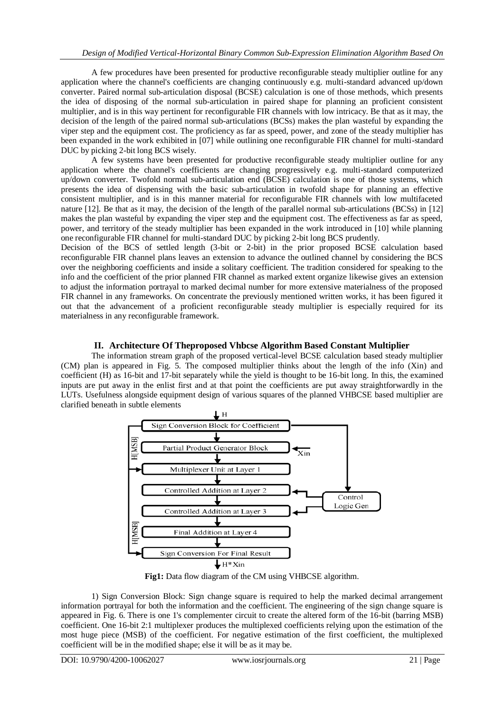A few procedures have been presented for productive reconfigurable steady multiplier outline for any application where the channel's coefficients are changing continuously e.g. multi-standard advanced up/down converter. Paired normal sub-articulation disposal (BCSE) calculation is one of those methods, which presents the idea of disposing of the normal sub-articulation in paired shape for planning an proficient consistent multiplier, and is in this way pertinent for reconfigurable FIR channels with low intricacy. Be that as it may, the decision of the length of the paired normal sub-articulations (BCSs) makes the plan wasteful by expanding the viper step and the equipment cost. The proficiency as far as speed, power, and zone of the steady multiplier has been expanded in the work exhibited in [07] while outlining one reconfigurable FIR channel for multi-standard DUC by picking 2-bit long BCS wisely.

A few systems have been presented for productive reconfigurable steady multiplier outline for any application where the channel's coefficients are changing progressively e.g. multi-standard computerized up/down converter. Twofold normal sub-articulation end (BCSE) calculation is one of those systems, which presents the idea of dispensing with the basic sub-articulation in twofold shape for planning an effective consistent multiplier, and is in this manner material for reconfigurable FIR channels with low multifaceted nature [12]. Be that as it may, the decision of the length of the parallel normal sub-articulations (BCSs) in [12] makes the plan wasteful by expanding the viper step and the equipment cost. The effectiveness as far as speed, power, and territory of the steady multiplier has been expanded in the work introduced in [10] while planning one reconfigurable FIR channel for multi-standard DUC by picking 2-bit long BCS prudently.

Decision of the BCS of settled length (3-bit or 2-bit) in the prior proposed BCSE calculation based reconfigurable FIR channel plans leaves an extension to advance the outlined channel by considering the BCS over the neighboring coefficients and inside a solitary coefficient. The tradition considered for speaking to the info and the coefficient of the prior planned FIR channel as marked extent organize likewise gives an extension to adjust the information portrayal to marked decimal number for more extensive materialness of the proposed FIR channel in any frameworks. On concentrate the previously mentioned written works, it has been figured it out that the advancement of a proficient reconfigurable steady multiplier is especially required for its materialness in any reconfigurable framework.

## **II. Architecture Of Theproposed Vhbcse Algorithm Based Constant Multiplier**

The information stream graph of the proposed vertical-level BCSE calculation based steady multiplier (CM) plan is appeared in Fig. 5. The composed multiplier thinks about the length of the info (Xin) and coefficient (H) as 16-bit and 17-bit separately while the yield is thought to be 16-bit long. In this, the examined inputs are put away in the enlist first and at that point the coefficients are put away straightforwardly in the LUTs. Usefulness alongside equipment design of various squares of the planned VHBCSE based multiplier are clarified beneath in subtle elements



Fig1: Data flow diagram of the CM using VHBCSE algorithm.

1) Sign Conversion Block: Sign change square is required to help the marked decimal arrangement information portrayal for both the information and the coefficient. The engineering of the sign change square is appeared in Fig. 6. There is one 1's complementer circuit to create the altered form of the 16-bit (barring MSB) coefficient. One 16-bit 2:1 multiplexer produces the multiplexed coefficients relying upon the estimation of the most huge piece (MSB) of the coefficient. For negative estimation of the first coefficient, the multiplexed coefficient will be in the modified shape; else it will be as it may be.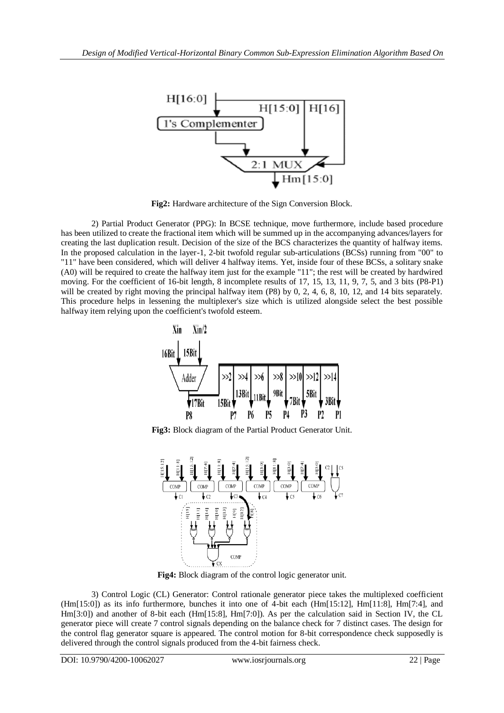

**Fig2:** Hardware architecture of the Sign Conversion Block.

2) Partial Product Generator (PPG): In BCSE technique, move furthermore, include based procedure has been utilized to create the fractional item which will be summed up in the accompanying advances/layers for creating the last duplication result. Decision of the size of the BCS characterizes the quantity of halfway items. In the proposed calculation in the layer-1, 2-bit twofold regular sub-articulations (BCSs) running from "00" to "11" have been considered, which will deliver 4 halfway items. Yet, inside four of these BCSs, a solitary snake (A0) will be required to create the halfway item just for the example "11"; the rest will be created by hardwired moving. For the coefficient of 16-bit length, 8 incomplete results of 17, 15, 13, 11, 9, 7, 5, and 3 bits (P8-P1) will be created by right moving the principal halfway item (P8) by 0, 2, 4, 6, 8, 10, 12, and 14 bits separately. This procedure helps in lessening the multiplexer's size which is utilized alongside select the best possible halfway item relying upon the coefficient's twofold esteem.



**Fig3:** Block diagram of the Partial Product Generator Unit.



**Fig4:** Block diagram of the control logic generator unit.

3) Control Logic (CL) Generator: Control rationale generator piece takes the multiplexed coefficient (Hm[15:0]) as its info furthermore, bunches it into one of 4-bit each (Hm[15:12], Hm[11:8], Hm[7:4], and Hm[3:0]) and another of 8-bit each (Hm[15:8], Hm[7:0]). As per the calculation said in Section IV, the CL generator piece will create 7 control signals depending on the balance check for 7 distinct cases. The design for the control flag generator square is appeared. The control motion for 8-bit correspondence check supposedly is delivered through the control signals produced from the 4-bit fairness check.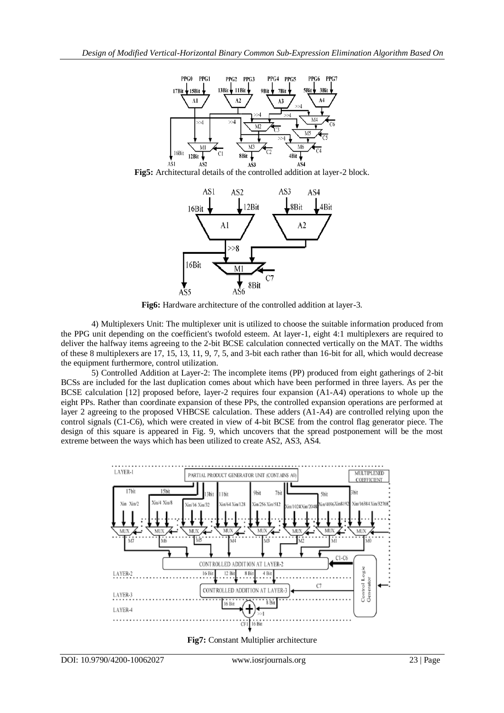

**Fig5:** Architectural details of the controlled addition at layer-2 block.



**Fig6:** Hardware architecture of the controlled addition at layer-3.

4) Multiplexers Unit: The multiplexer unit is utilized to choose the suitable information produced from the PPG unit depending on the coefficient's twofold esteem. At layer-1, eight 4:1 multiplexers are required to deliver the halfway items agreeing to the 2-bit BCSE calculation connected vertically on the MAT. The widths of these 8 multiplexers are 17, 15, 13, 11, 9, 7, 5, and 3-bit each rather than 16-bit for all, which would decrease the equipment furthermore, control utilization.

5) Controlled Addition at Layer-2: The incomplete items (PP) produced from eight gatherings of 2-bit BCSs are included for the last duplication comes about which have been performed in three layers. As per the BCSE calculation [12] proposed before, layer-2 requires four expansion (A1-A4) operations to whole up the eight PPs. Rather than coordinate expansion of these PPs, the controlled expansion operations are performed at layer 2 agreeing to the proposed VHBCSE calculation. These adders (A1-A4) are controlled relying upon the control signals (C1-C6), which were created in view of 4-bit BCSE from the control flag generator piece. The design of this square is appeared in Fig. 9, which uncovers that the spread postponement will be the most extreme between the ways which has been utilized to create AS2, AS3, AS4.



**Fig7:** Constant Multiplier architecture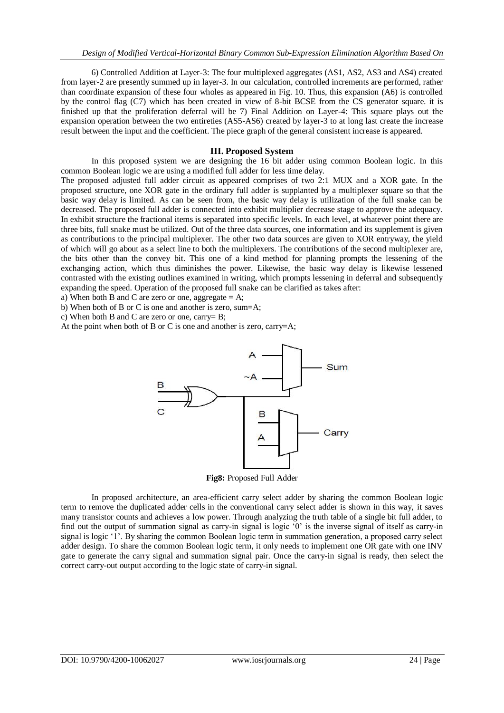6) Controlled Addition at Layer-3: The four multiplexed aggregates (AS1, AS2, AS3 and AS4) created from layer-2 are presently summed up in layer-3. In our calculation, controlled increments are performed, rather than coordinate expansion of these four wholes as appeared in Fig. 10. Thus, this expansion (A6) is controlled by the control flag (C7) which has been created in view of 8-bit BCSE from the CS generator square. it is finished up that the proliferation deferral will be 7) Final Addition on Layer-4: This square plays out the expansion operation between the two entireties (AS5-AS6) created by layer-3 to at long last create the increase result between the input and the coefficient. The piece graph of the general consistent increase is appeared.

### **III. Proposed System**

In this proposed system we are designing the 16 bit adder using common Boolean logic. In this common Boolean logic we are using a modified full adder for less time delay.

The proposed adjusted full adder circuit as appeared comprises of two 2:1 MUX and a XOR gate. In the proposed structure, one XOR gate in the ordinary full adder is supplanted by a multiplexer square so that the basic way delay is limited. As can be seen from, the basic way delay is utilization of the full snake can be decreased. The proposed full adder is connected into exhibit multiplier decrease stage to approve the adequacy. In exhibit structure the fractional items is separated into specific levels. In each level, at whatever point there are three bits, full snake must be utilized. Out of the three data sources, one information and its supplement is given as contributions to the principal multiplexer. The other two data sources are given to XOR entryway, the yield of which will go about as a select line to both the multiplexers. The contributions of the second multiplexer are, the bits other than the convey bit. This one of a kind method for planning prompts the lessening of the exchanging action, which thus diminishes the power. Likewise, the basic way delay is likewise lessened contrasted with the existing outlines examined in writing, which prompts lessening in deferral and subsequently expanding the speed. Operation of the proposed full snake can be clarified as takes after:

a) When both B and C are zero or one, aggregate  $= A$ ;

b) When both of B or C is one and another is zero, sum=A;

c) When both B and C are zero or one, carry= B;

At the point when both of B or C is one and another is zero, carry=A;



**Fig8:** Proposed Full Adder

In proposed architecture, an area-efficient carry select adder by sharing the common Boolean logic term to remove the duplicated adder cells in the conventional carry select adder is shown in this way, it saves many transistor counts and achieves a low power. Through analyzing the truth table of a single bit full adder, to find out the output of summation signal as carry-in signal is logic '0' is the inverse signal of itself as carry-in signal is logic '1'. By sharing the common Boolean logic term in summation generation, a proposed carry select adder design. To share the common Boolean logic term, it only needs to implement one OR gate with one INV gate to generate the carry signal and summation signal pair. Once the carry-in signal is ready, then select the correct carry-out output according to the logic state of carry-in signal.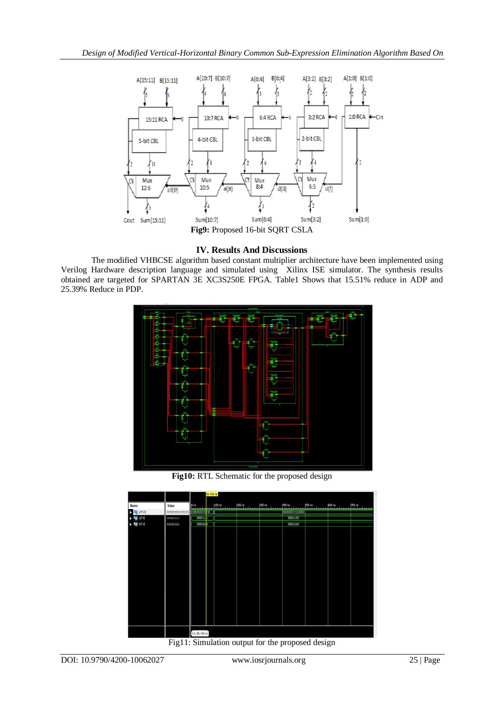

## **IV. Results And Discussions**

The modified VHBCSE algorithm based constant multiplier architecture have been implemented using Verilog Hardware description language and simulated using Xilinx ISE simulator. The synthesis results obtained are targeted for SPARTAN 3E XC3S250E FPGA. Table1 Shows that 15.51% reduce in ADP and 25.39% Reduce in PDP.



**Fig10:** RTL Schematic for the proposed design



Fig11: Simulation output for the proposed design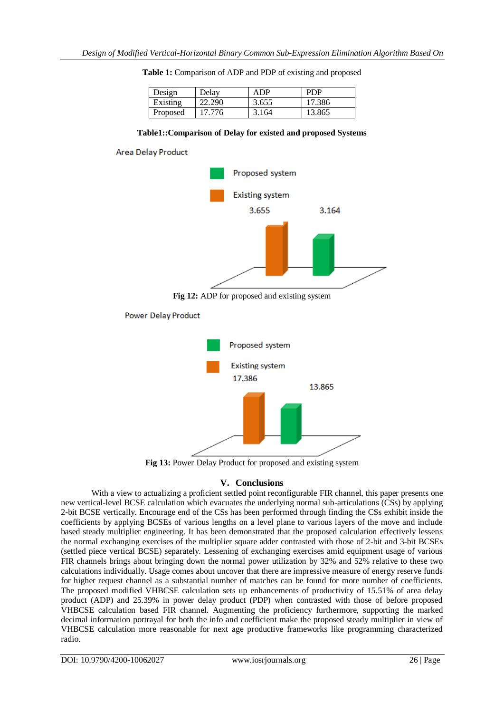| Design   | Delav  | ADP   | <b>PDP</b> |
|----------|--------|-------|------------|
| Existing | 22.290 | 3.655 | 17.386     |
| Proposed | 17.776 | 3.164 | 13.865     |

|  | Table 1: Comparison of ADP and PDP of existing and proposed |  |  |  |  |
|--|-------------------------------------------------------------|--|--|--|--|
|--|-------------------------------------------------------------|--|--|--|--|

### **Table1::Comparison of Delay for existed and proposed Systems**





**Fig 13:** Power Delay Product for proposed and existing system

## **V. Conclusions**

With a view to actualizing a proficient settled point reconfigurable FIR channel, this paper presents one new vertical-level BCSE calculation which evacuates the underlying normal sub-articulations (CSs) by applying 2-bit BCSE vertically. Encourage end of the CSs has been performed through finding the CSs exhibit inside the coefficients by applying BCSEs of various lengths on a level plane to various layers of the move and include based steady multiplier engineering. It has been demonstrated that the proposed calculation effectively lessens the normal exchanging exercises of the multiplier square adder contrasted with those of 2-bit and 3-bit BCSEs (settled piece vertical BCSE) separately. Lessening of exchanging exercises amid equipment usage of various FIR channels brings about bringing down the normal power utilization by 32% and 52% relative to these two calculations individually. Usage comes about uncover that there are impressive measure of energy reserve funds for higher request channel as a substantial number of matches can be found for more number of coefficients. The proposed modified VHBCSE calculation sets up enhancements of productivity of 15.51% of area delay product (ADP) and 25.39% in power delay product (PDP) when contrasted with those of before proposed VHBCSE calculation based FIR channel. Augmenting the proficiency furthermore, supporting the marked decimal information portrayal for both the info and coefficient make the proposed steady multiplier in view of VHBCSE calculation more reasonable for next age productive frameworks like programming characterized radio.